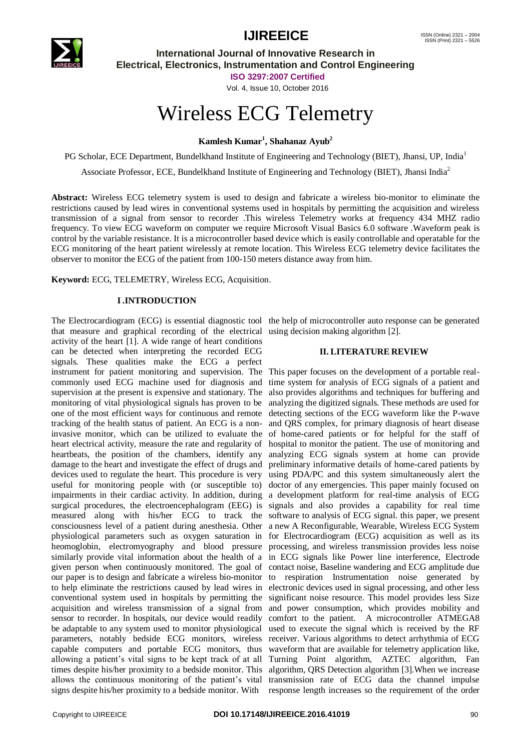

# **IJIREEICE** ISSN (Online)  $_{15}^{15}$  ISSN (Online)  $_{2321 - 2004}^{1521 - 2004}$

**International Journal of Innovative Research in Electrical, Electronics, Instrumentation and Control Engineering**

**ISO 3297:2007 Certified**

Vol. 4, Issue 10, October 2016

# Wireless ECG Telemetry

**Kamlesh Kumar<sup>1</sup> , Shahanaz Ayub<sup>2</sup>**

PG Scholar, ECE Department, Bundelkhand Institute of Engineering and Technology (BIET), Jhansi, UP, India<sup>1</sup>

Associate Professor, ECE, Bundelkhand Institute of Engineering and Technology (BIET), Jhansi India<sup>2</sup>

**Abstract:** Wireless ECG telemetry system is used to design and fabricate a wireless bio-monitor to eliminate the restrictions caused by lead wires in conventional systems used in hospitals by permitting the acquisition and wireless transmission of a signal from sensor to recorder .This wireless Telemetry works at frequency 434 MHZ radio frequency. To view ECG waveform on computer we require Microsoft Visual Basics 6.0 software .Waveform peak is control by the variable resistance. It is a microcontroller based device which is easily controllable and operatable for the ECG monitoring of the heart patient wirelessly at remote location. This Wireless ECG telemetry device facilitates the observer to monitor the ECG of the patient from 100-150 meters distance away from him.

**Keyword:** ECG, TELEMETRY, Wireless ECG, Acquisition.

# **I.INTRODUCTION**

The Electrocardiogram (ECG) is essential diagnostic tool the help of microcontroller auto response can be generated that measure and graphical recording of the electrical using decision making algorithm [2]. activity of the heart [1]. A wide range of heart conditions can be detected when interpreting the recorded ECG signals. These qualities make the ECG a perfect instrument for patient monitoring and supervision. The This paper focuses on the development of a portable realcommonly used ECG machine used for diagnosis and supervision at the present is expensive and stationary. The monitoring of vital physiological signals has proven to be one of the most efficient ways for continuous and remote tracking of the health status of patient. An ECG is a noninvasive monitor, which can be utilized to evaluate the heart electrical activity, measure the rate and regularity of heartbeats, the position of the chambers, identify any analyzing ECG signals system at home can provide damage to the heart and investigate the effect of drugs and devices used to regulate the heart. This procedure is very useful for monitoring people with (or susceptible to) impairments in their cardiac activity. In addition, during surgical procedures, the electroencephalogram (EEG) is signals and also provides a capability for real time measured along with his/her ECG to track the consciousness level of a patient during anesthesia. Other physiological parameters such as oxygen saturation in heomoglobin, electromyography and blood pressure similarly provide vital information about the health of a given person when continuously monitored. The goal of our paper is to design and fabricate a wireless bio-monitor to help eliminate the restrictions caused by lead wires in conventional system used in hospitals by permitting the acquisition and wireless transmission of a signal from sensor to recorder. In hospitals, our device would readily be adaptable to any system used to monitor physiological used to execute the signal which is received by the RF parameters, notably bedside ECG monitors, wireless receiver. Various algorithms to detect arrhythmia of ECG capable computers and portable ECG monitors, thus waveform that are available for telemetry application like, allowing a patient's vital signs to be kept track of at all Turning Point algorithm, AZTEC algorithm, Fan times despite his/her proximity to a bedside monitor. This algorithm, QRS Detection algorithm [3].When we increase allows the continuous monitoring of the patient's vital transmission rate of ECG data the channel impulse signs despite his/her proximity to a bedside monitor. With response length increases so the requirement of the order

# **II. LITERATURE REVIEW**

time system for analysis of ECG signals of a patient and also provides algorithms and techniques for buffering and analyzing the digitized signals. These methods are used for detecting sections of the ECG waveform like the P-wave and QRS complex, for primary diagnosis of heart disease of home-cared patients or for helpful for the staff of hospital to monitor the patient. The use of monitoring and preliminary informative details of home-cared patients by using PDA/PC and this system simultaneously alert the doctor of any emergencies. This paper mainly focused on a development platform for real-time analysis of ECG software to analysis of ECG signal. this paper, we present a new A Reconfigurable, Wearable, Wireless ECG System for Electrocardiogram (ECG) acquisition as well as its processing, and wireless transmission provides less noise in ECG signals like Power line interference, Electrode contact noise, Baseline wandering and ECG amplitude due to respiration Instrumentation noise generated by electronic devices used in signal processing, and other less significant noise resource. This model provides less Size and power consumption, which provides mobility and comfort to the patient. A microcontroller ATMEGA8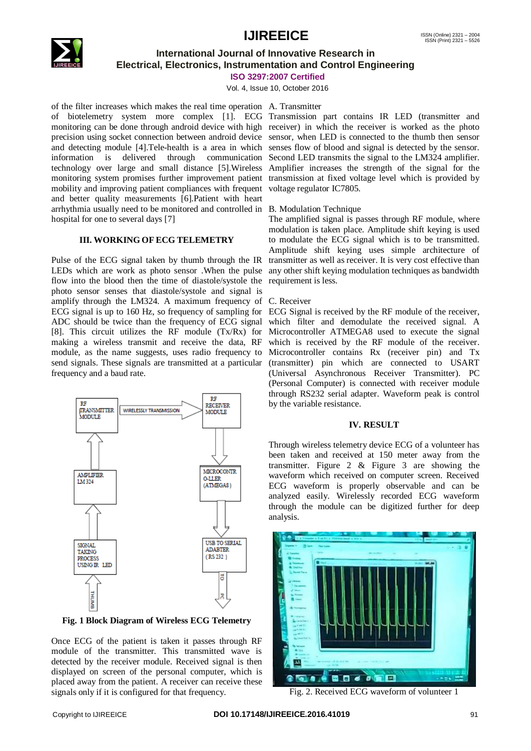# **IJIREEICE** ISSN (Online)  $_{15}^{15}$  ISSN (Online)  $_{2321 - 2004}^{1521 - 2004}$



# **International Journal of Innovative Research in Electrical, Electronics, Instrumentation and Control Engineering**

## **ISO 3297:2007 Certified**

Vol. 4, Issue 10, October 2016

of the filter increases which makes the real time operation A. Transmitter of biotelemetry system more complex [1]. ECG Transmission part contains IR LED (transmitter and monitoring can be done through android device with high receiver) in which the receiver is worked as the photo precision using socket connection between android device and detecting module [4].Tele-health is a area in which information is delivered through communication technology over large and small distance [5].Wireless monitoring system promises further improvement patient mobility and improving patient compliances with frequent and better quality measurements [6].Patient with heart arrhythmia usually need to be monitored and controlled in B. Modulation Technique hospital for one to several days [7]

# **III. WORKING OF ECG TELEMETRY**

Pulse of the ECG signal taken by thumb through the IR LEDs which are work as photo sensor .When the pulse flow into the blood then the time of diastole/systole the photo sensor senses that diastole/systole and signal is amplify through the LM324. A maximum frequency of ECG signal is up to 160 Hz, so frequency of sampling for ECG Signal is received by the RF module of the receiver, ADC should be twice than the frequency of ECG signal [8]. This circuit utilizes the RF module  $(Tx/Rx)$  for making a wireless transmit and receive the data, RF module, as the name suggests, uses radio frequency to send signals. These signals are transmitted at a particular frequency and a baud rate.



**Fig. 1 Block Diagram of Wireless ECG Telemetry**

Once ECG of the patient is taken it passes through RF module of the transmitter. This transmitted wave is detected by the receiver module. Received signal is then displayed on screen of the personal computer, which is placed away from the patient. A receiver can receive these signals only if it is configured for that frequency.

sensor, when LED is connected to the thumb then sensor senses flow of blood and signal is detected by the sensor. Second LED transmits the signal to the LM324 amplifier. Amplifier increases the strength of the signal for the transmission at fixed voltage level which is provided by voltage regulator IC7805.

The amplified signal is passes through RF module, where modulation is taken place. Amplitude shift keying is used to modulate the ECG signal which is to be transmitted. Amplitude shift keying uses simple architecture of transmitter as well as receiver. It is very cost effective than any other shift keying modulation techniques as bandwidth requirement is less.

## C. Receiver

which filter and demodulate the received signal. A Microcontroller ATMEGA8 used to execute the signal which is received by the RF module of the receiver. Microcontroller contains Rx (receiver pin) and Tx (transmitter) pin which are connected to USART (Universal Asynchronous Receiver Transmitter). PC (Personal Computer) is connected with receiver module through RS232 serial adapter. Waveform peak is control by the variable resistance.

### **IV. RESULT**

Through wireless telemetry device ECG of a volunteer has been taken and received at 150 meter away from the transmitter. Figure 2 & Figure 3 are showing the waveform which received on computer screen. Received ECG waveform is properly observable and can be analyzed easily. Wirelessly recorded ECG waveform through the module can be digitized further for deep analysis.



Fig. 2. Received ECG waveform of volunteer 1